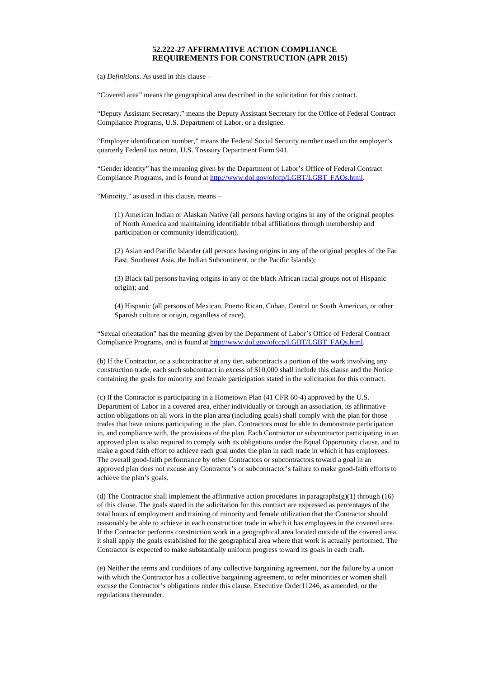## **52.222-27 AFFIRMATIVE ACTION COMPLIANCE REQUIREMENTS FOR CONSTRUCTION (APR 2015)**

(a) *Definitions*. As used in this clause –

"Covered area" means the geographical area described in the solicitation for this contract.

"Deputy Assistant Secretary," means the Deputy Assistant Secretary for the Office of Federal Contract Compliance Programs, U.S. Department of Labor, or a designee.

"Employer identification number," means the Federal Social Security number used on the employer's quarterly Federal tax return, U.S. Treasury Department Form 941.

"Gender identity" has the meaning given by the Department of Labor's Office of Federal Contract Compliance Programs, and is found at [http://www.dol.gov/ofccp/LGBT/LGBT\\_FAQs.html.](http://www.dol.gov/ofccp/LGBT/LGBT_FAQs.html)

"Minority," as used in this clause, means –

(1) American Indian or Alaskan Native (all persons having origins in any of the original peoples of North America and maintaining identifiable tribal affiliations through membership and participation or community identification).

(2) Asian and Pacific Islander (all persons having origins in any of the original peoples of the Far East, Southeast Asia, the Indian Subcontinent, or the Pacific Islands);

(3) Black (all persons having origins in any of the black African racial groups not of Hispanic origin); and

(4) Hispanic (all persons of Mexican, Puerto Rican, Cuban, Central or South American, or other Spanish culture or origin, regardless of race).

"Sexual orientation" has the meaning given by the Department of Labor's Office of Federal Contract Compliance Programs, and is found at [http://www.dol.gov/ofccp/LGBT/LGBT\\_FAQs.html.](http://www.dol.gov/ofccp/LGBT/LGBT_FAQs.html)

(b) If the Contractor, or a subcontractor at any tier, subcontracts a portion of the work involving any construction trade, each such subcontract in excess of \$10,000 shall include this clause and the Notice containing the goals for minority and female participation stated in the solicitation for this contract.

(c) If the Contractor is participating in a Hometown Plan (41 CFR 60-4) approved by the U.S. Department of Labor in a covered area, either individually or through an association, its affirmative action obligations on all work in the plan area (including goals) shall comply with the plan for those trades that have unions participating in the plan. Contractors must be able to demonstrate participation in, and compliance with, the provisions of the plan. Each Contractor or subcontractor participating in an approved plan is also required to comply with its obligations under the Equal Opportunity clause, and to make a good faith effort to achieve each goal under the plan in each trade in which it has employees. The overall good-faith performance by other Contractors or subcontractors toward a goal in an approved plan does not excuse any Contractor's or subcontractor's failure to make good-faith efforts to achieve the plan's goals.

(d) The Contractor shall implement the affirmative action procedures in paragraphs $(g)(1)$  through  $(16)$ of this clause. The goals stated in the solicitation for this contract are expressed as percentages of the total hours of employment and training of minority and female utilization that the Contractor should reasonably be able to achieve in each construction trade in which it has employees in the covered area. If the Contractor performs construction work in a geographical area located outside of the covered area, it shall apply the goals established for the geographical area where that work is actually performed. The Contractor is expected to make substantially uniform progress toward its goals in each craft.

(e) Neither the terms and conditions of any collective bargaining agreement, nor the failure by a union with which the Contractor has a collective bargaining agreement, to refer minorities or women shall excuse the Contractor's obligations under this clause, Executive Order11246, as amended, or the regulations thereunder.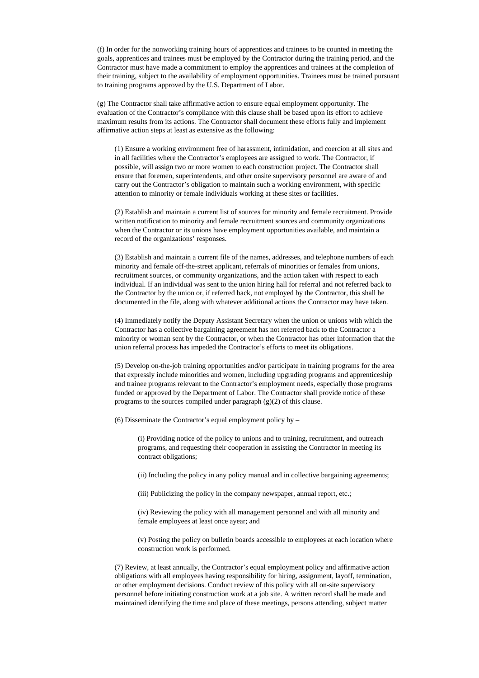(f) In order for the nonworking training hours of apprentices and trainees to be counted in meeting the goals, apprentices and trainees must be employed by the Contractor during the training period, and the Contractor must have made a commitment to employ the apprentices and trainees at the completion of their training, subject to the availability of employment opportunities. Trainees must be trained pursuant to training programs approved by the U.S. Department of Labor.

(g) The Contractor shall take affirmative action to ensure equal employment opportunity. The evaluation of the Contractor's compliance with this clause shall be based upon its effort to achieve maximum results from its actions. The Contractor shall document these efforts fully and implement affirmative action steps at least as extensive as the following:

(1) Ensure a working environment free of harassment, intimidation, and coercion at all sites and in all facilities where the Contractor's employees are assigned to work. The Contractor, if possible, will assign two or more women to each construction project. The Contractor shall ensure that foremen, superintendents, and other onsite supervisory personnel are aware of and carry out the Contractor's obligation to maintain such a working environment, with specific attention to minority or female individuals working at these sites or facilities.

(2) Establish and maintain a current list of sources for minority and female recruitment. Provide written notification to minority and female recruitment sources and community organizations when the Contractor or its unions have employment opportunities available, and maintain a record of the organizations' responses.

(3) Establish and maintain a current file of the names, addresses, and telephone numbers of each minority and female off-the-street applicant, referrals of minorities or females from unions, recruitment sources, or community organizations, and the action taken with respect to each individual. If an individual was sent to the union hiring hall for referral and not referred back to the Contractor by the union or, if referred back, not employed by the Contractor, this shall be documented in the file, along with whatever additional actions the Contractor may have taken.

(4) Immediately notify the Deputy Assistant Secretary when the union or unions with which the Contractor has a collective bargaining agreement has not referred back to the Contractor a minority or woman sent by the Contractor, or when the Contractor has other information that the union referral process has impeded the Contractor's efforts to meet its obligations.

(5) Develop on-the-job training opportunities and/or participate in training programs for the area that expressly include minorities and women, including upgrading programs and apprenticeship and trainee programs relevant to the Contractor's employment needs, especially those programs funded or approved by the Department of Labor. The Contractor shall provide notice of these programs to the sources compiled under paragraph (g)(2) of this clause.

(6) Disseminate the Contractor's equal employment policy by –

(i) Providing notice of the policy to unions and to training, recruitment, and outreach programs, and requesting their cooperation in assisting the Contractor in meeting its contract obligations;

(ii) Including the policy in any policy manual and in collective bargaining agreements;

(iii) Publicizing the policy in the company newspaper, annual report, etc.;

(iv) Reviewing the policy with all management personnel and with all minority and female employees at least once ayear; and

(v) Posting the policy on bulletin boards accessible to employees at each location where construction work is performed.

(7) Review, at least annually, the Contractor's equal employment policy and affirmative action obligations with all employees having responsibility for hiring, assignment, layoff, termination, or other employment decisions. Conduct review of this policy with all on-site supervisory personnel before initiating construction work at a job site. A written record shall be made and maintained identifying the time and place of these meetings, persons attending, subject matter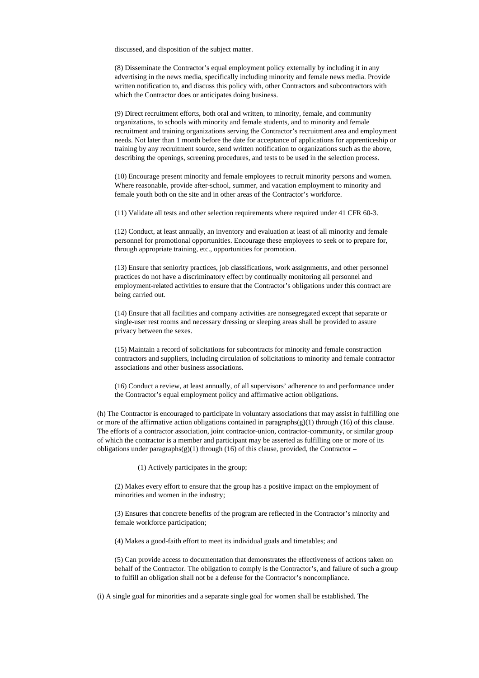discussed, and disposition of the subject matter.

(8) Disseminate the Contractor's equal employment policy externally by including it in any advertising in the news media, specifically including minority and female news media. Provide written notification to, and discuss this policy with, other Contractors and subcontractors with which the Contractor does or anticipates doing business.

(9) Direct recruitment efforts, both oral and written, to minority, female, and community organizations, to schools with minority and female students, and to minority and female recruitment and training organizations serving the Contractor's recruitment area and employment needs. Not later than 1 month before the date for acceptance of applications for apprenticeship or training by any recruitment source, send written notification to organizations such as the above, describing the openings, screening procedures, and tests to be used in the selection process.

(10) Encourage present minority and female employees to recruit minority persons and women. Where reasonable, provide after-school, summer, and vacation employment to minority and female youth both on the site and in other areas of the Contractor's workforce.

(11) Validate all tests and other selection requirements where required under 41 CFR 60-3.

(12) Conduct, at least annually, an inventory and evaluation at least of all minority and female personnel for promotional opportunities. Encourage these employees to seek or to prepare for, through appropriate training, etc., opportunities for promotion.

(13) Ensure that seniority practices, job classifications, work assignments, and other personnel practices do not have a discriminatory effect by continually monitoring all personnel and employment-related activities to ensure that the Contractor's obligations under this contract are being carried out.

(14) Ensure that all facilities and company activities are nonsegregated except that separate or single-user rest rooms and necessary dressing or sleeping areas shall be provided to assure privacy between the sexes.

(15) Maintain a record of solicitations for subcontracts for minority and female construction contractors and suppliers, including circulation of solicitations to minority and female contractor associations and other business associations.

(16) Conduct a review, at least annually, of all supervisors' adherence to and performance under the Contractor's equal employment policy and affirmative action obligations.

(h) The Contractor is encouraged to participate in voluntary associations that may assist in fulfilling one or more of the affirmative action obligations contained in paragraphs $(g)(1)$  through (16) of this clause. The efforts of a contractor association, joint contractor-union, contractor-community, or similar group of which the contractor is a member and participant may be asserted as fulfilling one or more of its obligations under paragraphs(g)(1) through (16) of this clause, provided, the Contractor –

(1) Actively participates in the group;

(2) Makes every effort to ensure that the group has a positive impact on the employment of minorities and women in the industry;

(3) Ensures that concrete benefits of the program are reflected in the Contractor's minority and female workforce participation;

(4) Makes a good-faith effort to meet its individual goals and timetables; and

(5) Can provide access to documentation that demonstrates the effectiveness of actions taken on behalf of the Contractor. The obligation to comply is the Contractor's, and failure of such a group to fulfill an obligation shall not be a defense for the Contractor's noncompliance.

(i) A single goal for minorities and a separate single goal for women shall be established. The